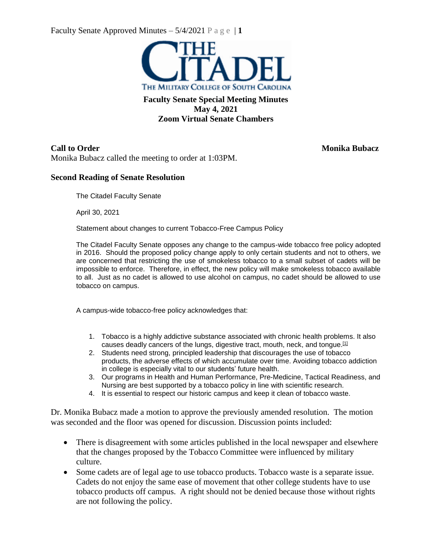Faculty Senate Approved Minutes  $-5/4/2021$  P a g e | 1



**Faculty Senate Special Meeting Minutes May 4, 2021 Zoom Virtual Senate Chambers**

Monika Bubacz called the meeting to order at 1:03PM.

### **Second Reading of Senate Resolution**

The Citadel Faculty Senate

April 30, 2021

Statement about changes to current Tobacco-Free Campus Policy

The Citadel Faculty Senate opposes any change to the campus-wide tobacco free policy adopted in 2016. Should the proposed policy change apply to only certain students and not to others, we are concerned that restricting the use of smokeless tobacco to a small subset of cadets will be impossible to enforce. Therefore, in effect, the new policy will make smokeless tobacco available to all. Just as no cadet is allowed to use alcohol on campus, no cadet should be allowed to use tobacco on campus.

A campus-wide tobacco-free policy acknowledges that:

- 1. Tobacco is a highly addictive substance associated with chronic health problems. It also causes deadly cancers of the lungs, digestive tract, mouth, neck, and tongue.<sup>[\[1\]](https://outlook.office.com/mail/inbox/id/AAMkADdiNmYxYmMyLWY1ZjEtNGNkZi1iZDU3LWFjYWE0NmIzNDNiMgBGAAAAAACtc%2F%2B6A86AQqDkkM5MuJQTBwCZzE9znc1CRJV3de8yNYqdAAAAe830AAAlCuSiGPseTprgTtfo09IMAAavm3%2BxAAA%3D#x__ftn1)</sup>
- 2. Students need strong, principled leadership that discourages the use of tobacco products, the adverse effects of which accumulate over time. Avoiding tobacco addiction in college is especially vital to our students' future health.
- 3. Our programs in Health and Human Performance, Pre-Medicine, Tactical Readiness, and Nursing are best supported by a tobacco policy in line with scientific research.
- 4. It is essential to respect our historic campus and keep it clean of tobacco waste.

Dr. Monika Bubacz made a motion to approve the previously amended resolution. The motion was seconded and the floor was opened for discussion. Discussion points included:

- There is disagreement with some articles published in the local newspaper and elsewhere that the changes proposed by the Tobacco Committee were influenced by military culture.
- Some cadets are of legal age to use tobacco products. Tobacco waste is a separate issue. Cadets do not enjoy the same ease of movement that other college students have to use tobacco products off campus. A right should not be denied because those without rights are not following the policy.

**Call to Order Monika Bubacz**